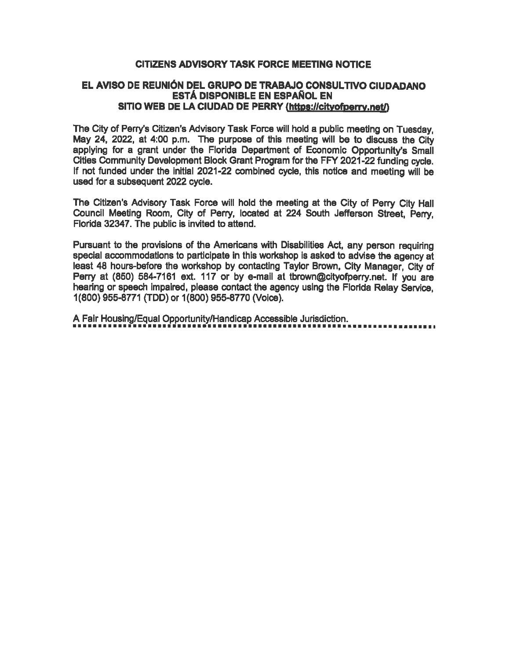## CITIZENS ADVISORY TASK FORCE MEETING NOTICE

## EL AVISO DE REUN16N DEL GRUPO DE TRABAJO CONSULTIVO CIUDADANO ESTA DISPONIBLE EN ESPAfiOL EN SITIO WEB DE LA CIUDAD DE PERRY (https://cityofperry.net/)

The City of Perry's Citizen's Advisory Task Force will hold a public meeting on Tuesday, May 24, 2022, at 4:00 p.m. The purpose of this meeting will be to discuss the City applying for a grant under the Florida Department of Economic Opportunity's Small Cities Community Development Block Grant Program for the FFY 2021 -22 funding cycle. If not funded under the initial 2021-22 combined cycle, this notice and meeting will be used for a subsequent 2022 cycle.

The Citizen's Advisory Task Force will hold the meeting at the City of Perry City Hall Council Meeting Room, City of Perry, located at 224 South Jefferson Street, Perry, Florida 32347. The public is invited to attend.

Pursuant to the provisions of the Americans with Disabilities Act, any person requiring special accommodations to participate in this workshop is asked to advise the agency at least 48 houre-before the workshop by contacting Taylor Brown, City Manager, City of Perry at (850) 584-7161 ext. 117 or by e-mail at tbrown@cityofperry. net. If you are hearing or speech impaired, please contact the agency using the Florida Relay Service, 1(800) 955-8771 (TDD) or 1(800) 955-8770 (Voice).

A Fair Housing/Equal Opportunity/Handicap Accessible Jurisdiction.